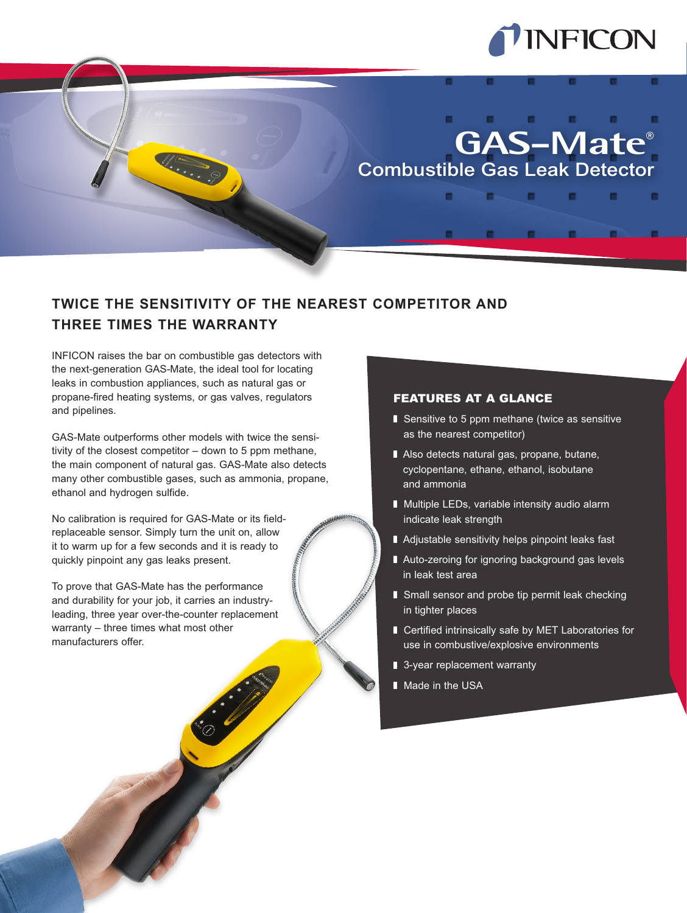

## **GAS-Mate®** Combustible Gas Leak Detector

a na

## **TWICE THE SENSITIVITY OF THE NEAREST COMPETITOR AND THREE TIMES THE WARRANTY**

INFICON raises the bar on combustible gas detectors with the next-generation GAS-Mate, the ideal tool for locating leaks in combustion appliances, such as natural gas or propane-fired heating systems, or gas valves, regulators and pipelines.

GAS-Mate outperforms other models with twice the sensitivity of the closest competitor – down to 5 ppm methane, the main component of natural gas. GAS-Mate also detects many other combustible gases, such as ammonia, propane, ethanol and hydrogen sulfide.

No calibration is required for GAS-Mate or its fieldreplaceable sensor. Simply turn the unit on, allow it to warm up for a few seconds and it is ready to quickly pinpoint any gas leaks present.

To prove that GAS-Mate has the performance and durability for your job, it carries an industryleading, three year over-the-counter replacement warranty – three times what most other manufacturers offer.

## FEATURES AT A GLANCE

- Sensitive to 5 ppm methane (twice as sensitive as the nearest competitor)
- Also detects natural gas, propane, butane, cyclopentane, ethane, ethanol, isobutane and ammonia
- Multiple LEDs, variable intensity audio alarm indicate leak strength
- Adjustable sensitivity helps pinpoint leaks fast
- Auto-zeroing for ignoring background gas levels in leak test area
- Small sensor and probe tip permit leak checking in tighter places
- Certified intrinsically safe by MET Laboratories for use in combustive/explosive environments
- 3-year replacement warranty
- Made in the USA